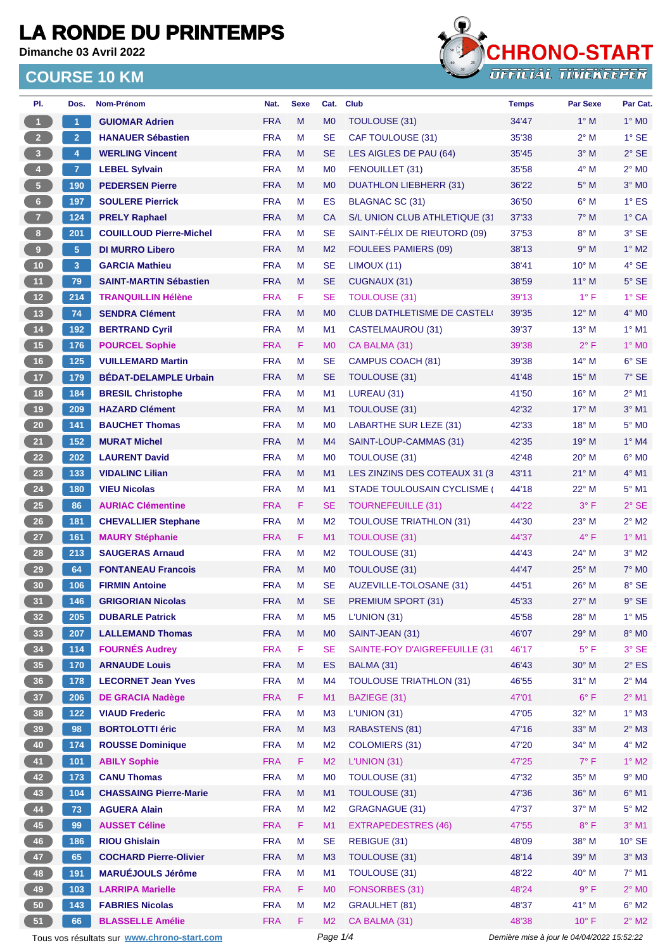**Dimanche 03 Avril 2022**



| PI.                     | Dos.                 | <b>Nom-Prénom</b>                           | Nat.       | <b>Sexe</b> | Cat.           | <b>Club</b>                       | <b>Temps</b>                                | Par Sexe       | Par Cat.                 |  |
|-------------------------|----------------------|---------------------------------------------|------------|-------------|----------------|-----------------------------------|---------------------------------------------|----------------|--------------------------|--|
| $\blacksquare$          | $\blacktriangleleft$ | <b>GUIOMAR Adrien</b>                       | <b>FRA</b> | M           | M <sub>0</sub> | TOULOUSE (31)                     | 34'47                                       | $1^\circ$ M    | $1^\circ$ MO             |  |
| 2 <sup>2</sup>          | 2 <sup>1</sup>       | <b>HANAUER Sébastien</b>                    | <b>FRA</b> | М           | <b>SE</b>      | <b>CAF TOULOUSE (31)</b>          | 35'38                                       | $2^{\circ}$ M  | $1^\circ$ SE             |  |
| $\overline{\mathbf{3}}$ | 4                    | <b>WERLING Vincent</b>                      | <b>FRA</b> | M           | SE             | LES AIGLES DE PAU (64)            | 35'45                                       | $3°$ M         | $2°$ SE                  |  |
| 4 <sup>1</sup>          | $\mathbf{7}$         | <b>LEBEL Sylvain</b>                        | <b>FRA</b> | М           | M <sub>0</sub> | FENOUILLET (31)                   | 35'58                                       | $4^\circ$ M    | $2^{\circ}$ MO           |  |
| $\sqrt{5}$              | 190                  | <b>PEDERSEN Pierre</b>                      | <b>FRA</b> | M           | M <sub>0</sub> | <b>DUATHLON LIEBHERR (31)</b>     | 36'22                                       | $5^\circ$ M    | $3°$ MO                  |  |
| 6 <sup>1</sup>          | 197                  | <b>SOULERE Pierrick</b>                     | <b>FRA</b> | М           | ES             | BLAGNAC SC (31)                   | 36'50                                       | $6^\circ$ M    | $1^\circ$ ES             |  |
| 7 <sup>2</sup>          | 124                  | <b>PRELY Raphael</b>                        | <b>FRA</b> | M           | <b>CA</b>      | S/L UNION CLUB ATHLETIQUE (31     | 37'33                                       | $7^\circ$ M    | 1° CA                    |  |
| 8 <sub>1</sub>          | 201                  | <b>COUILLOUD Pierre-Michel</b>              | <b>FRA</b> | М           | SE             | SAINT-FÉLIX DE RIEUTORD (09)      | 37'53                                       | $8^\circ$ M    | 3° SE                    |  |
| $\overline{9}$          | 5                    | <b>DI MURRO Libero</b>                      | <b>FRA</b> | M           | M <sub>2</sub> | <b>FOULEES PAMIERS (09)</b>       | 38'13                                       | 9° M           | $1^\circ$ M2             |  |
| $10$                    | 3                    | <b>GARCIA Mathieu</b>                       | <b>FRA</b> | M           | <b>SE</b>      | LIMOUX (11)                       | 38'41                                       | $10^{\circ}$ M | 4° SE                    |  |
| 11                      | 79                   | <b>SAINT-MARTIN Sébastien</b>               | <b>FRA</b> | M           | <b>SE</b>      | CUGNAUX (31)                      | 38'59                                       | $11^{\circ}$ M | $5^\circ$ SE             |  |
| 12                      | 214                  | <b>TRANQUILLIN Hélène</b>                   | <b>FRA</b> | F           | <b>SE</b>      | <b>TOULOUSE (31)</b>              | 39'13                                       | $1^{\circ}$ F  | $1°$ SE                  |  |
| 13                      | 74                   | <b>SENDRA Clément</b>                       | <b>FRA</b> | M           | M <sub>0</sub> | <b>CLUB DATHLETISME DE CASTEL</b> | 39'35                                       | $12^{\circ}$ M | $4^\circ$ MO             |  |
| $14$                    | 192                  | <b>BERTRAND Cyril</b>                       | <b>FRA</b> | М           | M1             | <b>CASTELMAUROU (31)</b>          | 39'37                                       | $13^{\circ}$ M | $1^\circ$ M1             |  |
| 15                      | 176                  | <b>POURCEL Sophie</b>                       | <b>FRA</b> | F           | M <sub>0</sub> | CA BALMA (31)                     | 39'38                                       | $2^{\circ}$ F  | 1° MO                    |  |
| 16                      | 125                  | <b>VUILLEMARD Martin</b>                    | <b>FRA</b> | M           | <b>SE</b>      | CAMPUS COACH (81)                 | 39'38                                       | $14^{\circ}$ M | $6°$ SE                  |  |
| 17                      | 179                  | <b>BÉDAT-DELAMPLE Urbain</b>                | <b>FRA</b> | M           | <b>SE</b>      | <b>TOULOUSE (31)</b>              | 41'48                                       | $15^{\circ}$ M | $7°$ SE                  |  |
| 18                      | 184                  | <b>BRESIL Christophe</b>                    | <b>FRA</b> | М           | M1             | LUREAU (31)                       | 41'50                                       | 16° M          | $2^{\circ}$ M1           |  |
| 19                      | 209                  | <b>HAZARD Clément</b>                       | <b>FRA</b> | M           | M1             | TOULOUSE (31)                     | 42'32                                       | $17^\circ$ M   | $3°$ M1                  |  |
| 20                      | 141                  | <b>BAUCHET Thomas</b>                       | <b>FRA</b> | м           | M <sub>0</sub> | LABARTHE SUR LEZE (31)            | 42'33                                       | $18^{\circ}$ M | 5° MO                    |  |
| 21                      | 152                  | <b>MURAT Michel</b>                         | <b>FRA</b> | M           | M <sub>4</sub> | SAINT-LOUP-CAMMAS (31)            | 42'35                                       | 19° M          | $1^\circ$ M4             |  |
| 22                      | 202                  | <b>LAURENT David</b>                        | <b>FRA</b> | М           | M <sub>0</sub> | <b>TOULOUSE (31)</b>              | 42'48                                       | $20^{\circ}$ M | $6^{\circ}$ MO           |  |
| 23                      | 133                  | <b>VIDALINC Lilian</b>                      | <b>FRA</b> | M           | M1             | LES ZINZINS DES COTEAUX 31 (3)    | 43'11                                       | $21°$ M        | 4° M1                    |  |
| 24                      | 180                  | <b>VIEU Nicolas</b>                         | <b>FRA</b> | м           | M <sub>1</sub> | <b>STADE TOULOUSAIN CYCLISME</b>  | 44'18                                       | 22° M          | $5^\circ$ M1             |  |
| 25                      | 86                   | <b>AURIAC Clémentine</b>                    | <b>FRA</b> | F           | SE             | <b>TOURNEFEUILLE (31)</b>         | 44'22                                       | $3^{\circ}$ F  | $2°$ SE                  |  |
| 26                      | 181                  | <b>CHEVALLIER Stephane</b>                  | <b>FRA</b> | M           | M <sub>2</sub> | <b>TOULOUSE TRIATHLON (31)</b>    | 44'30                                       | 23° M          | $2^{\circ}$ M2           |  |
| 27                      | 161                  | <b>MAURY Stéphanie</b>                      | <b>FRA</b> | F.          | M1             | <b>TOULOUSE (31)</b>              | 44'37                                       | $4^{\circ}$ F  | $1^\circ$ M1             |  |
| 28                      | 213                  | <b>SAUGERAS Arnaud</b>                      | <b>FRA</b> | м           | M <sub>2</sub> | <b>TOULOUSE (31)</b>              | 44'43                                       | 24° M          | $3°$ M2                  |  |
| 29                      | 64                   | <b>FONTANEAU Francois</b>                   | <b>FRA</b> | M           | M <sub>0</sub> | <b>TOULOUSE (31)</b>              | 44'47                                       | $25^{\circ}$ M | $7^\circ$ MO             |  |
| 30 <sub>o</sub>         | 106                  | <b>FIRMIN Antoine</b>                       | <b>FRA</b> | M           | <b>SE</b>      | AUZEVILLE-TOLOSANE (31)           | 44'51                                       | 26° M          | 8° SE                    |  |
| 31                      | 146                  | <b>GRIGORIAN Nicolas</b>                    | <b>FRA</b> | M           | <b>SE</b>      | PREMIUM SPORT (31)                | 45'33                                       | 27° M          | $9^{\circ}$ SE           |  |
| 32 <sub>2</sub>         | 205                  | <b>DUBARLE Patrick</b>                      | <b>FRA</b> | M           | M <sub>5</sub> | L'UNION (31)                      | 45'58                                       | 28° M          | $1^\circ$ M <sub>5</sub> |  |
| 33 <sup>°</sup>         | 207                  | <b>LALLEMAND Thomas</b>                     | <b>FRA</b> | M           | M <sub>0</sub> | SAINT-JEAN (31)                   | 46'07                                       | 29° M          | 8° MO                    |  |
| 34                      | 114                  | <b>FOURNÉS Audrey</b>                       | <b>FRA</b> | F           | <b>SE</b>      | SAINTE-FOY D'AIGREFEUILLE (31     | 46'17                                       | $5^{\circ}$ F  | $3°$ SE                  |  |
| 35                      | 170                  | <b>ARNAUDE Louis</b>                        | <b>FRA</b> | M           | ES             | BALMA (31)                        | 46'43                                       | 30° M          | $2^{\circ}$ ES           |  |
| 36 <sup>°</sup>         | 178                  | <b>LECORNET Jean Yves</b>                   | <b>FRA</b> | M           | M4             | <b>TOULOUSE TRIATHLON (31)</b>    | 46'55                                       | $31^\circ$ M   | $2^{\circ}$ M4           |  |
| 37 <sup>°</sup>         | 206                  | <b>DE GRACIA Nadège</b>                     | <b>FRA</b> | F           | M1             | BAZIEGE (31)                      | 47'01                                       | $6^{\circ}$ F  | $2^{\circ}$ M1           |  |
| 38                      | 122                  | <b>VIAUD Frederic</b>                       | <b>FRA</b> | M           | M <sub>3</sub> | L'UNION (31)                      | 47'05                                       | 32° M          | $1^\circ$ M3             |  |
| 39                      | 98                   | <b>BORTOLOTTI éric</b>                      | <b>FRA</b> | M           | M <sub>3</sub> | RABASTENS (81)                    | 47'16                                       | 33° M          | $2^{\circ}$ M3           |  |
| 40                      | 174                  | <b>ROUSSE Dominique</b>                     | <b>FRA</b> | M           | M <sub>2</sub> | <b>COLOMIERS (31)</b>             | 47'20                                       | 34° M          | $4^\circ$ M2             |  |
| 41                      | $101$                | <b>ABILY Sophie</b>                         | <b>FRA</b> | F.          | M <sub>2</sub> | L'UNION (31)                      | 47'25                                       | $7^\circ$ F    | $1^\circ$ M2             |  |
| 42                      | 173                  | <b>CANU Thomas</b>                          | <b>FRA</b> | M           | M <sub>0</sub> | TOULOUSE (31)                     | 47'32                                       | 35° M          | $9°$ MO                  |  |
| 43                      | 104                  | <b>CHASSAING Pierre-Marie</b>               | <b>FRA</b> | M           | M1             | <b>TOULOUSE (31)</b>              | 47'36                                       | 36° M          | $6^{\circ}$ M1           |  |
| 44                      | 73                   | <b>AGUERA Alain</b>                         | <b>FRA</b> | M           | M <sub>2</sub> | <b>GRAGNAGUE (31)</b>             | 47'37                                       | 37° M          | $5^\circ$ M2             |  |
| 45                      | 99                   | <b>AUSSET Céline</b>                        | <b>FRA</b> | F           | M1             | <b>EXTRAPEDESTRES (46)</b>        | 47'55                                       | $8^{\circ}$ F  | $3°$ M1                  |  |
| 46                      | 186                  | <b>RIOU Ghislain</b>                        | <b>FRA</b> | M           | <b>SE</b>      | REBIGUE (31)                      | 48'09                                       | 38° M          | $10^{\circ}$ SE          |  |
| 47                      | 65                   | <b>COCHARD Pierre-Olivier</b>               | <b>FRA</b> | M           | M <sub>3</sub> | TOULOUSE (31)                     | 48'14                                       | 39° M          | $3^\circ$ M3             |  |
| 48                      | 191                  | <b>MARUÉJOULS Jérôme</b>                    | <b>FRA</b> | M           | M1             | TOULOUSE (31)                     | 48'22                                       | 40° M          | 7° M1                    |  |
| 49                      | 103                  | <b>LARRIPA Marielle</b>                     | <b>FRA</b> | F.          | M <sub>0</sub> | <b>FONSORBES (31)</b>             | 48'24                                       | 9° F           | $2^{\circ}$ MO           |  |
| 50                      | 143                  | <b>FABRIES Nicolas</b>                      | <b>FRA</b> | М           | M <sub>2</sub> | <b>GRAULHET (81)</b>              | 48'37                                       | 41° M          | $6^\circ$ M2             |  |
| 51                      | 66                   | <b>BLASSELLE Amélie</b>                     | <b>FRA</b> | F           | M <sub>2</sub> | CA BALMA (31)                     | 48'38                                       | $10^{\circ}$ F | $2^{\circ}$ M2           |  |
|                         |                      | Tous vos résultats sur www.chrono-start.com |            |             | Page 1/4       |                                   | Dernière mise à jour le 04/04/2022 15:52:22 |                |                          |  |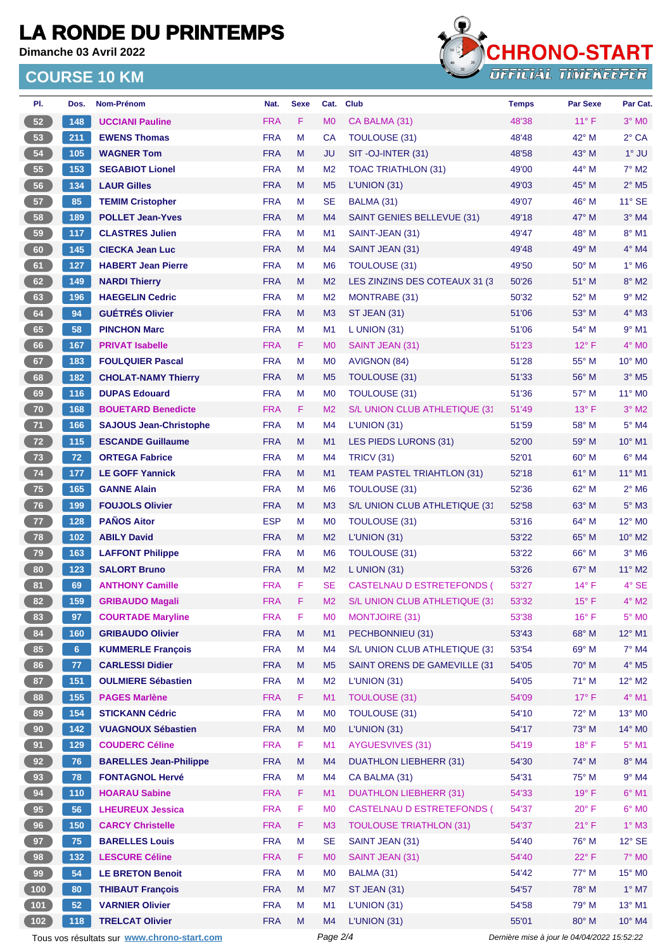**Dimanche 03 Avril 2022**



| PI.          | Dos.           | Nom-Prénom                                  | Nat.       | <b>Sexe</b> | Cat.           | <b>Club</b>                       | <b>Temps</b>                                | <b>Par Sexe</b> | Par Cat.                   |
|--------------|----------------|---------------------------------------------|------------|-------------|----------------|-----------------------------------|---------------------------------------------|-----------------|----------------------------|
| 52           | 148            | <b>UCCIANI Pauline</b>                      | <b>FRA</b> | F           | M <sub>0</sub> | CA BALMA (31)                     | 48'38                                       | $11^{\circ}$ F  | $3°$ MO                    |
| 53           | 211            | <b>EWENS Thomas</b>                         | <b>FRA</b> | M           | CA             | <b>TOULOUSE (31)</b>              | 48'48                                       | 42° M           | $2°$ CA                    |
| 54           | 105            | <b>WAGNER Tom</b>                           | <b>FRA</b> | M           | <b>JU</b>      | SIT-OJ-INTER (31)                 | 48'58                                       | $43^\circ$ M    | $1^\circ$ JU               |
| 55           | 153            | <b>SEGABIOT Lionel</b>                      | <b>FRA</b> | M           | M <sub>2</sub> | <b>TOAC TRIATHLON (31)</b>        | 49'00                                       | $44^{\circ}$ M  | $7^\circ$ M2               |
| 56           | 134            | <b>LAUR Gilles</b>                          | <b>FRA</b> | M           | M <sub>5</sub> | L'UNION(31)                       | 49'03                                       | 45° M           | $2^{\circ}$ M <sub>5</sub> |
| 57           | 85             | <b>TEMIM Cristopher</b>                     | <b>FRA</b> | M           | <b>SE</b>      | BALMA (31)                        | 49'07                                       | $46^{\circ}$ M  | $11^{\circ}$ SE            |
| 58           | 189            | <b>POLLET Jean-Yves</b>                     | <b>FRA</b> | M           | M <sub>4</sub> | <b>SAINT GENIES BELLEVUE (31)</b> | 49'18                                       | 47° M           | $3°$ M4                    |
| 59           | 117            | <b>CLASTRES Julien</b>                      | <b>FRA</b> | М           | M <sub>1</sub> | SAINT-JEAN (31)                   | 49'47                                       | 48° M           | 8° M1                      |
| 60           | 145            | <b>CIECKA Jean Luc</b>                      | <b>FRA</b> | M           | M4             | SAINT JEAN (31)                   | 49'48                                       | 49° M           | $4^\circ$ M4               |
| 61           | 127            | <b>HABERT Jean Pierre</b>                   | <b>FRA</b> | M           | M <sub>6</sub> | <b>TOULOUSE (31)</b>              | 49'50                                       | $50^\circ$ M    | $1^\circ$ M6               |
| 62           | 149            | <b>NARDI Thierry</b>                        | <b>FRA</b> | M           | M <sub>2</sub> | LES ZINZINS DES COTEAUX 31 (3)    | 50'26                                       | 51° M           | 8° M2                      |
| 63           | 196            | <b>HAEGELIN Cedric</b>                      | <b>FRA</b> | M           | M <sub>2</sub> | MONTRABE (31)                     | 50'32                                       | $52^{\circ}$ M  | $9°$ M2                    |
| 64           | 94             | <b>GUÉTRÉS Olivier</b>                      | <b>FRA</b> | M           | M <sub>3</sub> | <b>ST JEAN (31)</b>               | 51'06                                       | 53° M           | 4° M3                      |
| 65           | 58             | <b>PINCHON Marc</b>                         | <b>FRA</b> | M           | M1             | $L$ UNION (31)                    | 51'06                                       | 54° M           | $9°$ M1                    |
| 66           | 167            | <b>PRIVAT Isabelle</b>                      | <b>FRA</b> | F.          | M <sub>0</sub> | SAINT JEAN (31)                   | 51'23                                       | $12^{\circ}$ F  | $4^\circ$ MO               |
| 67           | 183            | <b>FOULQUIER Pascal</b>                     | <b>FRA</b> | M           | M <sub>0</sub> | AVIGNON (84)                      | 51'28                                       | 55° M           | 10° M0                     |
| 68           | 182            | <b>CHOLAT-NAMY Thierry</b>                  | <b>FRA</b> | M           | M <sub>5</sub> | TOULOUSE (31)                     | 51'33                                       | $56^{\circ}$ M  | $3°$ M <sub>5</sub>        |
| 69           | 116            | <b>DUPAS Edouard</b>                        | <b>FRA</b> | M           | M <sub>0</sub> | <b>TOULOUSE (31)</b>              | 51'36                                       | 57° M           | 11° M0                     |
| 70           | 168            | <b>BOUETARD Benedicte</b>                   | <b>FRA</b> | F           | M <sub>2</sub> | S/L UNION CLUB ATHLETIQUE (31     | 51'49                                       | $13^{\circ}$ F  | $3°$ M2                    |
| 71           | 166            | <b>SAJOUS Jean-Christophe</b>               | <b>FRA</b> | M           | M <sub>4</sub> | L'UNION(31)                       | 51'59                                       | 58° M           | 5° M4                      |
| 72           | 115            | <b>ESCANDE Guillaume</b>                    | <b>FRA</b> | M           | M <sub>1</sub> | LES PIEDS LURONS (31)             | 52'00                                       | 59° M           | $10^{\circ}$ M1            |
| 73           | 72             | <b>ORTEGA Fabrice</b>                       | <b>FRA</b> | М           | M <sub>4</sub> | <b>TRICV (31)</b>                 | 52'01                                       | 60° M           | $6°$ M4                    |
| 74           | 177            | <b>LE GOFF Yannick</b>                      | <b>FRA</b> | M           | M <sub>1</sub> | TEAM PASTEL TRIAHTLON (31)        | 52'18                                       | $61^\circ$ M    | 11° M1                     |
| 75           | 165            | <b>GANNE Alain</b>                          | <b>FRA</b> | м           | M <sub>6</sub> | <b>TOULOUSE (31)</b>              | 52'36                                       | 62° M           | $2^{\circ}$ M <sub>6</sub> |
| 76           | 199            | <b>FOUJOLS Olivier</b>                      | <b>FRA</b> | M           | M <sub>3</sub> | S/L UNION CLUB ATHLETIQUE (31     | 52'58                                       | 63° M           | $5^\circ$ M3               |
|              | 128            | <b>PAÑOS Aitor</b>                          | <b>ESP</b> | M           | M <sub>0</sub> | <b>TOULOUSE (31)</b>              | 53'16                                       | $64^{\circ}$ M  | 12° M <sub>0</sub>         |
| 77<br>78     | 102            | <b>ABILY David</b>                          | <b>FRA</b> | M           | M <sub>2</sub> | L'UNION (31)                      | 53'22                                       | $65^\circ$ M    | 10° M2                     |
|              |                |                                             | <b>FRA</b> |             |                |                                   |                                             |                 |                            |
| 79           | 163            | <b>LAFFONT Philippe</b>                     |            | M           | M <sub>6</sub> | <b>TOULOUSE (31)</b>              | 53'22                                       | $66^{\circ}$ M  | $3^\circ$ M6               |
| 80           | 123            | <b>SALORT Bruno</b>                         | <b>FRA</b> | M           | M <sub>2</sub> | L UNION (31)                      | 53'26                                       | 67° M           | 11° M2                     |
| 81           | 69             | <b>ANTHONY Camille</b>                      | <b>FRA</b> | F           | <b>SE</b>      | CASTELNAU D ESTRETEFONDS (        | 53'27                                       | $14^{\circ}$ F  | 4° SE                      |
| 82           | 159            | <b>GRIBAUDO Magali</b>                      | <b>FRA</b> | F.          | M <sub>2</sub> | S/L UNION CLUB ATHLETIQUE (31     | 53'32                                       | $15^{\circ}$ F  | $4^\circ$ M2               |
| 83           | 97             | <b>COURTADE Maryline</b>                    | <b>FRA</b> | F           | M <sub>0</sub> | <b>MONTJOIRE (31)</b>             | 53'38                                       | $16^{\circ}$ F  | $5^\circ$ MO               |
| 84           | 160            | <b>GRIBAUDO Olivier</b>                     | <b>FRA</b> | M           | M1             | PECHBONNIEU (31)                  | 53'43                                       | 68° M           | 12° M1                     |
| 85           | 6 <sup>1</sup> | <b>KUMMERLE François</b>                    | <b>FRA</b> | M           | M4             | S/L UNION CLUB ATHLETIQUE (31     | 53'54                                       | 69° M           | $7^\circ$ M4               |
| 86           | 77             | <b>CARLESSI Didier</b>                      | <b>FRA</b> | M           | M <sub>5</sub> | SAINT ORENS DE GAMEVILLE (31      | 54'05                                       | 70° M           | $4^\circ$ M5               |
| 87           | 151            | <b>OULMIERE Sébastien</b>                   | <b>FRA</b> | M           | M <sub>2</sub> | L'UNION (31)                      | 54'05                                       | 71° M           | 12° M2                     |
| 88           | 155            | <b>PAGES Marlène</b>                        | <b>FRA</b> | F           | M1             | <b>TOULOUSE (31)</b>              | 54'09                                       | $17^{\circ}$ F  | $4^\circ$ M1               |
| 89           | 154            | <b>STICKANN Cédric</b>                      | <b>FRA</b> | M           | M <sub>0</sub> | TOULOUSE (31)                     | 54'10                                       | 72° M           | 13° MO                     |
| 90           | 142            | <b>VUAGNOUX Sébastien</b>                   | <b>FRA</b> | M           | M <sub>0</sub> | L'UNION (31)                      | 54'17                                       | 73° M           | 14° M0                     |
| 91           | 129            | <b>COUDERC Céline</b>                       | <b>FRA</b> | F           | M1             | AYGUESVIVES (31)                  | 54'19                                       | $18^{\circ}$ F  | $5^\circ$ M1               |
| 92           | 76             | <b>BARELLES Jean-Philippe</b>               | <b>FRA</b> | M           | M <sub>4</sub> | <b>DUATHLON LIEBHERR (31)</b>     | 54'30                                       | 74° M           | 8° M4                      |
| 93           | 78             | <b>FONTAGNOL Hervé</b>                      | <b>FRA</b> | М           | M <sub>4</sub> | CA BALMA (31)                     | 54'31                                       | 75° M           | $9°$ M4                    |
| 94           | $110$          | <b>HOARAU Sabine</b>                        | <b>FRA</b> | F           | M1             | <b>DUATHLON LIEBHERR (31)</b>     | 54'33                                       | $19^{\circ}$ F  | $6^{\circ}$ M1             |
| 95           | 56             | <b>LHEUREUX Jessica</b>                     | <b>FRA</b> | F           | M <sub>0</sub> | CASTELNAU D ESTRETEFONDS (        | 54'37                                       | $20^{\circ}$ F  | $6^\circ$ MO               |
| 96           | 150            | <b>CARCY Christelle</b>                     | <b>FRA</b> | F           | M <sub>3</sub> | <b>TOULOUSE TRIATHLON (31)</b>    | 54'37                                       | $21^{\circ}$ F  | $1^\circ$ M3               |
| 97           | 75             | <b>BARELLES Louis</b>                       | <b>FRA</b> | M           | <b>SE</b>      | SAINT JEAN (31)                   | 54'40                                       | 76° M           | $12^{\circ}$ SE            |
| 98           | 132            | <b>LESCURE Céline</b>                       | <b>FRA</b> | F           | M <sub>0</sub> | SAINT JEAN (31)                   | 54'40                                       | 22°F            | 7° M0                      |
| 99           | 54             | <b>LE BRETON Benoit</b>                     | <b>FRA</b> | M           | M <sub>0</sub> | BALMA (31)                        | 54'42                                       | 77° M           | 15° MO                     |
| (100)        | 80             | <b>THIBAUT François</b>                     | <b>FRA</b> | M           | M7             | ST JEAN (31)                      | 54'57                                       | 78° M           | $1^\circ$ M7               |
| $\sqrt{101}$ | 52             | <b>VARNIER Olivier</b>                      | <b>FRA</b> | M           | M <sub>1</sub> | L'UNION (31)                      | 54'58                                       | 79° M           | $13^{\circ}$ M1            |
| (102)        | 118            | <b>TRELCAT Olivier</b>                      | <b>FRA</b> | M           | M4             | L'UNION (31)                      | 55'01                                       | 80° M           | 10° M4                     |
|              |                | Tous vos résultats sur www.chrono-start.com |            |             | Page 2/4       |                                   | Dernière mise à jour le 04/04/2022 15:52:22 |                 |                            |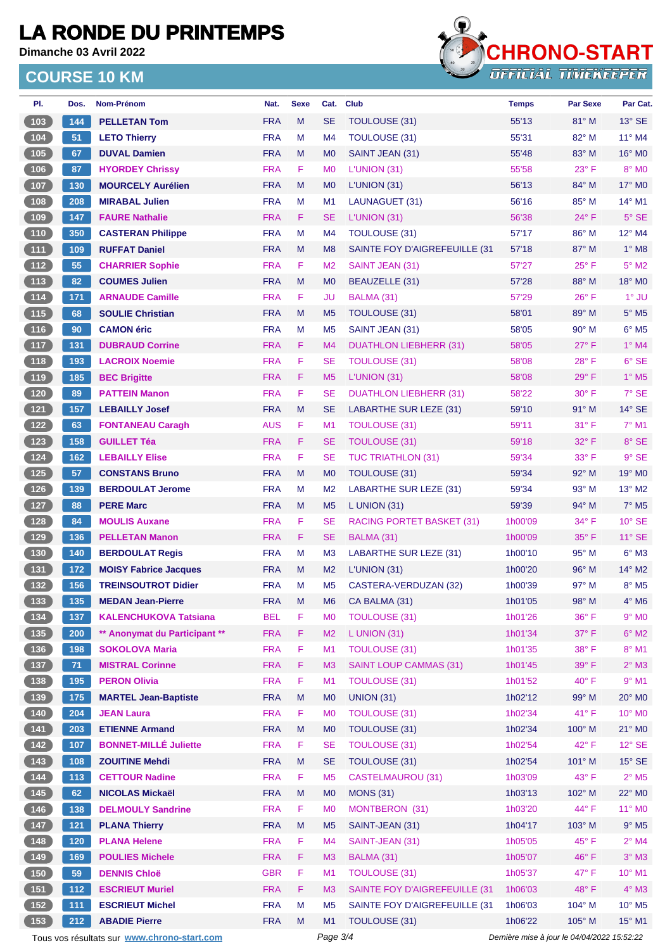**Dimanche 03 Avril 2022**



| PI.                                               | Dos.  | Nom-Prénom                                  | Nat.       | <b>Sexe</b> | Cat.           | <b>Club</b>                      | <b>Temps</b> | <b>Par Sexe</b>                             | Par Cat.                           |
|---------------------------------------------------|-------|---------------------------------------------|------------|-------------|----------------|----------------------------------|--------------|---------------------------------------------|------------------------------------|
| 103                                               | 144   | <b>PELLETAN Tom</b>                         | <b>FRA</b> | M           | <b>SE</b>      | TOULOUSE (31)                    | 55'13        | 81° M                                       | $13^\circ$ SE                      |
| $104$                                             | 51    | <b>LETO Thierry</b>                         | <b>FRA</b> | M           | M <sub>4</sub> | <b>TOULOUSE (31)</b>             | 55'31        | 82° M                                       | 11° M4                             |
| (105)                                             | 67    | <b>DUVAL Damien</b>                         | <b>FRA</b> | M           | M <sub>0</sub> | SAINT JEAN (31)                  | 55'48        | 83° M                                       | $16^\circ$ MO                      |
| 106                                               | 87    | <b>HYORDEY Chrissy</b>                      | <b>FRA</b> | F           | M <sub>0</sub> | L'UNION (31)                     | 55'58        | $23^{\circ}$ F                              | 8° MO                              |
| 107                                               | 130   | <b>MOURCELY Aurélien</b>                    | <b>FRA</b> | M           | M <sub>0</sub> | L'UNION(31)                      | 56'13        | 84° M                                       | 17° M0                             |
| $108$                                             | 208   | <b>MIRABAL Julien</b>                       | <b>FRA</b> | M           | M <sub>1</sub> | LAUNAGUET (31)                   | 56'16        | $85^\circ$ M                                | $14^{\circ}$ M1                    |
| 109                                               | 147   | <b>FAURE Nathalie</b>                       | <b>FRA</b> | F           | <b>SE</b>      | L'UNION (31)                     | 56'38        | 24° F                                       | $5^\circ$ SE                       |
| $110$                                             | 350   | <b>CASTERAN Philippe</b>                    | <b>FRA</b> | M           | M <sub>4</sub> | TOULOUSE (31)                    | 57'17        | 86° M                                       | $12^{\circ}$ M4                    |
| $\begin{array}{c} \boxed{111} \end{array}$        | 109   | <b>RUFFAT Daniel</b>                        | <b>FRA</b> | M           | M <sub>8</sub> | SAINTE FOY D'AIGREFEUILLE (31    | 57'18        | 87° M                                       | $1^\circ$ M8                       |
| $112$                                             | 55    | <b>CHARRIER Sophie</b>                      | <b>FRA</b> | F           | M <sub>2</sub> | SAINT JEAN (31)                  | 57'27        | $25^{\circ}$ F                              | $5^\circ$ M2                       |
| $\boxed{113}$                                     | 82    | <b>COUMES Julien</b>                        | <b>FRA</b> | M           | M <sub>0</sub> | <b>BEAUZELLE (31)</b>            | 57'28        | 88° M                                       | 18° MO                             |
| 114                                               | 171   | <b>ARNAUDE Camille</b>                      | <b>FRA</b> | F           | JU             | BALMA (31)                       | 57'29        | $26^{\circ}$ F                              | $1^\circ$ JU                       |
| (115)                                             | 68    | <b>SOULIE Christian</b>                     | <b>FRA</b> | M           | M <sub>5</sub> | TOULOUSE (31)                    | 58'01        | 89° M                                       | $5^\circ$ M5                       |
| $\begin{array}{c} \n \textbf{116} \\ \end{array}$ | 90    | <b>CAMON</b> éric                           | <b>FRA</b> | М           | M <sub>5</sub> | SAINT JEAN (31)                  | 58'05        | 90° M                                       | $6^{\circ}$ M <sub>5</sub>         |
| (117)                                             | 131   | <b>DUBRAUD Corrine</b>                      | <b>FRA</b> | F           | M <sub>4</sub> | <b>DUATHLON LIEBHERR (31)</b>    | 58'05        | $27^\circ$ F                                | $1^\circ$ M4                       |
| 118                                               | 193   | <b>LACROIX Noemie</b>                       | <b>FRA</b> | F           | SE             | TOULOUSE (31)                    | 58'08        | 28°F                                        | 6° SE                              |
| $\boxed{119}$                                     | 185   | <b>BEC Brigitte</b>                         | <b>FRA</b> | F           | M <sub>5</sub> | L'UNION (31)                     | 58'08        | $29^\circ$ F                                | $1^\circ$ M <sub>5</sub>           |
| 120                                               | 89    | <b>PATTEIN Manon</b>                        | <b>FRA</b> | F           | <b>SE</b>      | <b>DUATHLON LIEBHERR (31)</b>    | 58'22        | 30° F                                       | $7°$ SE                            |
| $121$                                             | 157   | <b>LEBAILLY Josef</b>                       | <b>FRA</b> | M           | <b>SE</b>      | <b>LABARTHE SUR LEZE (31)</b>    | 59'10        | 91° M                                       | $14^\circ$ SE                      |
| $122$                                             | 63    | <b>FONTANEAU Caragh</b>                     | <b>AUS</b> | F           | M <sub>1</sub> | TOULOUSE (31)                    | 59'11        | 31° F                                       | $7°$ M1                            |
| $123$                                             | 158   | <b>GUILLET Téa</b>                          | <b>FRA</b> | F           | <b>SE</b>      | <b>TOULOUSE (31)</b>             | 59'18        | $32^{\circ}$ F                              | 8° SE                              |
| 124                                               | 162   | <b>LEBAILLY Elise</b>                       | <b>FRA</b> | F           | <b>SE</b>      | <b>TUC TRIATHLON (31)</b>        | 59'34        | 33° F                                       | $9°$ SE                            |
| 125                                               | 57    | <b>CONSTANS Bruno</b>                       | <b>FRA</b> | M           | M <sub>0</sub> | TOULOUSE (31)                    | 59'34        | $92^\circ$ M                                | 19° M <sub>0</sub>                 |
| $126$                                             | 139   | <b>BERDOULAT Jerome</b>                     | <b>FRA</b> | м           | M <sub>2</sub> | <b>LABARTHE SUR LEZE (31)</b>    | 59'34        | 93° M                                       | $13^\circ$ M2                      |
| (127)                                             | 88    | <b>PERE Marc</b>                            | <b>FRA</b> | M           | M <sub>5</sub> | L UNION $(31)$                   | 59'39        | 94° M                                       | $7^\circ$ M <sub>5</sub>           |
| 128                                               | 84    | <b>MOULIS Auxane</b>                        | <b>FRA</b> | F           | SE             | <b>RACING PORTET BASKET (31)</b> | 1h00'09      | 34° F                                       | $10^{\circ}$ SE                    |
| 129                                               | 136   | <b>PELLETAN Manon</b>                       | <b>FRA</b> | F.          | <b>SE</b>      | BALMA (31)                       | 1h00'09      | $35^{\circ}$ F                              | $11^{\circ}$ SE                    |
|                                                   |       |                                             |            |             |                |                                  |              |                                             | $6^\circ$ M3                       |
| $\begin{array}{c} \n \textbf{130} \n \end{array}$ | 140   | <b>BERDOULAT Regis</b>                      | <b>FRA</b> | M           | M <sub>3</sub> | <b>LABARTHE SUR LEZE (31)</b>    | 1h00'10      | $95^\circ$ M                                |                                    |
| (131)                                             | 172   | <b>MOISY Fabrice Jacques</b>                | <b>FRA</b> | M           | M <sub>2</sub> | L'UNION(31)                      | 1h00'20      | $96^\circ$ M<br>97° M                       | 14° M2<br>$8^\circ$ M <sub>5</sub> |
| 132                                               | 156   | <b>TREINSOUTROT Didier</b>                  | <b>FRA</b> | М           | M <sub>5</sub> | CASTERA-VERDUZAN (32)            | 1h00'39      |                                             |                                    |
| 133                                               | 135   | <b>MEDAN Jean-Pierre</b>                    | <b>FRA</b> | M           | M <sub>6</sub> | CA BALMA (31)                    | 1h01'05      | $98^\circ$ M                                | $4^\circ$ M6                       |
| $134$                                             | 137   | <b>KALENCHUKOVA Tatsiana</b>                | <b>BEL</b> | F           | M <sub>0</sub> | <b>TOULOUSE (31)</b>             | 1h01'26      | 36° F                                       | $9^\circ$ MO                       |
| (135)                                             | 200   | ** Anonymat du Participant **               | <b>FRA</b> | F           | M <sub>2</sub> | $L$ UNION (31)                   | 1h01'34      | 37° F                                       | $6^\circ$ M2                       |
| $136$                                             | 198   | <b>SOKOLOVA Maria</b>                       | <b>FRA</b> | F           | M <sub>1</sub> | <b>TOULOUSE (31)</b>             | 1h01'35      | 38° F                                       | $8^\circ$ M1                       |
| (137)                                             | 71    | <b>MISTRAL Corinne</b>                      | <b>FRA</b> | F           | M <sub>3</sub> | <b>SAINT LOUP CAMMAS (31)</b>    | 1h01'45      | 39° F                                       | $2^\circ$ M3                       |
| $\begin{array}{ c c }\n\hline\n138\n\end{array}$  | 195   | <b>PERON Olivia</b>                         | <b>FRA</b> | F           | M1             | <b>TOULOUSE (31)</b>             | 1h01'52      | $40^{\circ}$ F                              | $9°$ M1                            |
| $139$                                             | 175   | <b>MARTEL Jean-Baptiste</b>                 | <b>FRA</b> | M           | M <sub>0</sub> | <b>UNION (31)</b>                | 1h02'12      | 99° M                                       | 20° MO                             |
| $140$                                             | 204   | <b>JEAN Laura</b>                           | <b>FRA</b> | F           | M <sub>0</sub> | <b>TOULOUSE (31)</b>             | 1h02'34      | 41° F                                       | 10° MO                             |
| (141)                                             | 203   | <b>ETIENNE Armand</b>                       | <b>FRA</b> | M           | M <sub>0</sub> | TOULOUSE (31)                    | 1h02'34      | 100° M                                      | $21^\circ$ MO                      |
| $142$                                             | 107   | <b>BONNET-MILLÉ Juliette</b>                | <b>FRA</b> | F           | <b>SE</b>      | <b>TOULOUSE (31)</b>             | 1h02'54      | 42°F                                        | $12^{\circ}$ SE                    |
| 143                                               | 108   | <b>ZOUITINE Mehdi</b>                       | <b>FRA</b> | M           | <b>SE</b>      | TOULOUSE (31)                    | 1h02'54      | 101° M                                      | $15^\circ$ SE                      |
| 144                                               | $113$ | <b>CETTOUR Nadine</b>                       | <b>FRA</b> | F           | M <sub>5</sub> | <b>CASTELMAUROU (31)</b>         | 1h03'09      | $43^{\circ}$ F                              | $2^{\circ}$ M <sub>5</sub>         |
| (145)                                             | 62    | <b>NICOLAS Mickaël</b>                      | <b>FRA</b> | M           | M <sub>0</sub> | <b>MONS (31)</b>                 | 1h03'13      | 102° M                                      | 22° MO                             |
| $146$                                             | 138   | <b>DELMOULY Sandrine</b>                    | <b>FRA</b> | F           | M <sub>0</sub> | MONTBERON (31)                   | 1h03'20      | 44° F                                       | 11° MO                             |
| $147$                                             | $121$ | <b>PLANA Thierry</b>                        | <b>FRA</b> | M           | M <sub>5</sub> | SAINT-JEAN (31)                  | 1h04'17      | 103° M                                      | $9°$ M <sub>5</sub>                |
| $148$                                             | 120   | <b>PLANA Helene</b>                         | <b>FRA</b> | F           | M <sub>4</sub> | SAINT-JEAN (31)                  | 1h05'05      | 45° F                                       | $2^{\circ}$ M4                     |
| (149)                                             | 169   | <b>POULIES Michele</b>                      | <b>FRA</b> | F           | M3             | BALMA (31)                       | 1h05'07      | 46°F                                        | $3°$ M3                            |
| 150                                               | 59    | <b>DENNIS Chloë</b>                         | <b>GBR</b> | F           | M1             | <b>TOULOUSE (31)</b>             | 1h05'37      | 47° F                                       | 10° M1                             |
| (151)                                             | $112$ | <b>ESCRIEUT Muriel</b>                      | <b>FRA</b> | F           | M <sub>3</sub> | SAINTE FOY D'AIGREFEUILLE (31    | 1h06'03      | 48°F                                        | $4^\circ$ M3                       |
| $152$                                             | $111$ | <b>ESCRIEUT Michel</b>                      | <b>FRA</b> | M           | M <sub>5</sub> | SAINTE FOY D'AIGREFEUILLE (31    | 1h06'03      | 104° M                                      | $10^{\circ}$ M <sub>5</sub>        |
| (153)                                             | 212   | <b>ABADIE Pierre</b>                        | <b>FRA</b> | M           | M1             | TOULOUSE (31)                    | 1h06'22      | 105° M                                      | 15° M1                             |
|                                                   |       | Tous vos résultats sur www.chrono-start.com |            |             | Page 3/4       |                                  |              | Dernière mise à jour le 04/04/2022 15:52:22 |                                    |